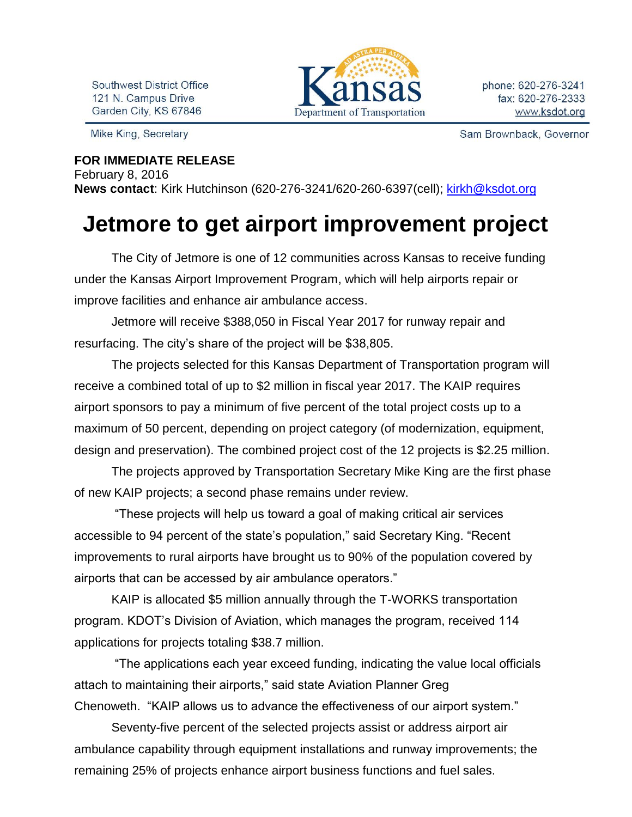Southwest District Office 121 N. Campus Drive Garden City, KS 67846

Mike King, Secretary

Department of Transportation

Sam Brownback, Governor

**FOR IMMEDIATE RELEASE** February 8, 2016 **News contact**: Kirk Hutchinson (620-276-3241/620-260-6397(cell); [kirkh@ksdot.org](mailto:kirkh@ksdot.org)

## **Jetmore to get airport improvement project**

The City of Jetmore is one of 12 communities across Kansas to receive funding under the Kansas Airport Improvement Program, which will help airports repair or improve facilities and enhance air ambulance access.

Jetmore will receive \$388,050 in Fiscal Year 2017 for runway repair and resurfacing. The city's share of the project will be \$38,805.

The projects selected for this Kansas Department of Transportation program will receive a combined total of up to \$2 million in fiscal year 2017. The KAIP requires airport sponsors to pay a minimum of five percent of the total project costs up to a maximum of 50 percent, depending on project category (of modernization, equipment, design and preservation). The combined project cost of the 12 projects is \$2.25 million.

The projects approved by Transportation Secretary Mike King are the first phase of new KAIP projects; a second phase remains under review.

"These projects will help us toward a goal of making critical air services accessible to 94 percent of the state's population," said Secretary King. "Recent improvements to rural airports have brought us to 90% of the population covered by airports that can be accessed by air ambulance operators."

KAIP is allocated \$5 million annually through the T-WORKS transportation program. KDOT's Division of Aviation, which manages the program, received 114 applications for projects totaling \$38.7 million.

"The applications each year exceed funding, indicating the value local officials attach to maintaining their airports," said state Aviation Planner Greg Chenoweth. "KAIP allows us to advance the effectiveness of our airport system."

Seventy-five percent of the selected projects assist or address airport air ambulance capability through equipment installations and runway improvements; the remaining 25% of projects enhance airport business functions and fuel sales.